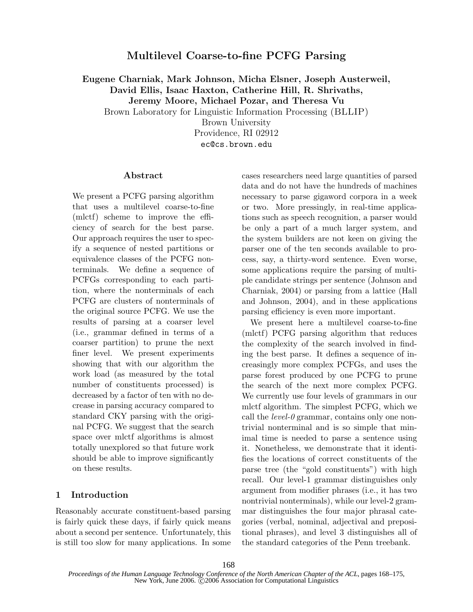# Multilevel Coarse-to-fine PCFG Parsing

Eugene Charniak, Mark Johnson, Micha Elsner, Joseph Austerweil, David Ellis, Isaac Haxton, Catherine Hill, R. Shrivaths, Jeremy Moore, Michael Pozar, and Theresa Vu Brown Laboratory for Linguistic Information Processing (BLLIP)

Brown University Providence, RI 02912 ec@cs.brown.edu

#### Abstract

We present a PCFG parsing algorithm that uses a multilevel coarse-to-fine (mlctf) scheme to improve the efficiency of search for the best parse. Our approach requires the user to specify a sequence of nested partitions or equivalence classes of the PCFG nonterminals. We define a sequence of PCFGs corresponding to each partition, where the nonterminals of each PCFG are clusters of nonterminals of the original source PCFG. We use the results of parsing at a coarser level (i.e., grammar defined in terms of a coarser partition) to prune the next finer level. We present experiments showing that with our algorithm the work load (as measured by the total number of constituents processed) is decreased by a factor of ten with no decrease in parsing accuracy compared to standard CKY parsing with the original PCFG. We suggest that the search space over mlctf algorithms is almost totally unexplored so that future work should be able to improve significantly on these results.

### 1 Introduction

Reasonably accurate constituent-based parsing is fairly quick these days, if fairly quick means about a second per sentence. Unfortunately, this is still too slow for many applications. In some cases researchers need large quantities of parsed data and do not have the hundreds of machines necessary to parse gigaword corpora in a week or two. More pressingly, in real-time applications such as speech recognition, a parser would be only a part of a much larger system, and the system builders are not keen on giving the parser one of the ten seconds available to process, say, a thirty-word sentence. Even worse, some applications require the parsing of multiple candidate strings per sentence (Johnson and Charniak, 2004) or parsing from a lattice (Hall and Johnson, 2004), and in these applications parsing efficiency is even more important.

We present here a multilevel coarse-to-fine (mlctf) PCFG parsing algorithm that reduces the complexity of the search involved in finding the best parse. It defines a sequence of increasingly more complex PCFGs, and uses the parse forest produced by one PCFG to prune the search of the next more complex PCFG. We currently use four levels of grammars in our mlctf algorithm. The simplest PCFG, which we call the *level-0* grammar, contains only one nontrivial nonterminal and is so simple that minimal time is needed to parse a sentence using it. Nonetheless, we demonstrate that it identifies the locations of correct constituents of the parse tree (the "gold constituents") with high recall. Our level-1 grammar distinguishes only argument from modifier phrases (i.e., it has two nontrivial nonterminals), while our level-2 grammar distinguishes the four major phrasal categories (verbal, nominal, adjectival and prepositional phrases), and level 3 distinguishes all of the standard categories of the Penn treebank.

168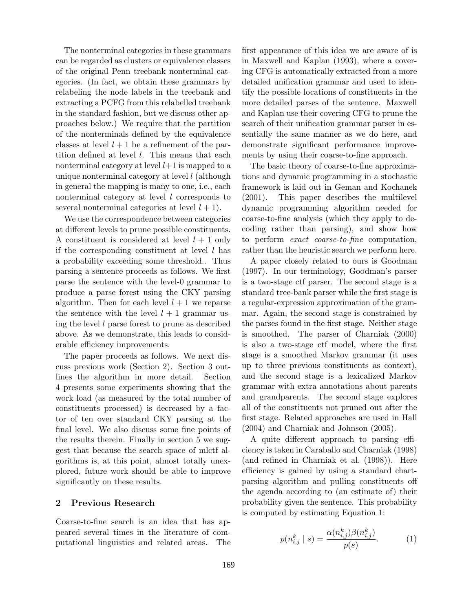The nonterminal categories in these grammars can be regarded as clusters or equivalence classes of the original Penn treebank nonterminal categories. (In fact, we obtain these grammars by relabeling the node labels in the treebank and extracting a PCFG from this relabelled treebank in the standard fashion, but we discuss other approaches below.) We require that the partition of the nonterminals defined by the equivalence classes at level  $l + 1$  be a refinement of the partition defined at level l. This means that each nonterminal category at level  $l+1$  is mapped to a unique nonterminal category at level  $l$  (although in general the mapping is many to one, i.e., each nonterminal category at level l corresponds to several nonterminal categories at level  $l + 1$ .

We use the correspondence between categories at different levels to prune possible constituents. A constituent is considered at level  $l + 1$  only if the corresponding constituent at level  $l$  has a probability exceeding some threshold.. Thus parsing a sentence proceeds as follows. We first parse the sentence with the level-0 grammar to produce a parse forest using the CKY parsing algorithm. Then for each level  $l + 1$  we reparse the sentence with the level  $l + 1$  grammar using the level l parse forest to prune as described above. As we demonstrate, this leads to considerable efficiency improvements.

The paper proceeds as follows. We next discuss previous work (Section 2). Section 3 outlines the algorithm in more detail. Section 4 presents some experiments showing that the work load (as measured by the total number of constituents processed) is decreased by a factor of ten over standard CKY parsing at the final level. We also discuss some fine points of the results therein. Finally in section 5 we suggest that because the search space of mlctf algorithms is, at this point, almost totally unexplored, future work should be able to improve significantly on these results.

### 2 Previous Research

Coarse-to-fine search is an idea that has appeared several times in the literature of computational linguistics and related areas. The first appearance of this idea we are aware of is in Maxwell and Kaplan (1993), where a covering CFG is automatically extracted from a more detailed unification grammar and used to identify the possible locations of constituents in the more detailed parses of the sentence. Maxwell and Kaplan use their covering CFG to prune the search of their unification grammar parser in essentially the same manner as we do here, and demonstrate significant performance improvements by using their coarse-to-fine approach.

The basic theory of coarse-to-fine approximations and dynamic programming in a stochastic framework is laid out in Geman and Kochanek (2001). This paper describes the multilevel dynamic programming algorithm needed for coarse-to-fine analysis (which they apply to decoding rather than parsing), and show how to perform exact coarse-to-fine computation, rather than the heuristic search we perform here.

A paper closely related to ours is Goodman (1997). In our terminology, Goodman's parser is a two-stage ctf parser. The second stage is a standard tree-bank parser while the first stage is a regular-expression approximation of the grammar. Again, the second stage is constrained by the parses found in the first stage. Neither stage is smoothed. The parser of Charniak (2000) is also a two-stage ctf model, where the first stage is a smoothed Markov grammar (it uses up to three previous constituents as context), and the second stage is a lexicalized Markov grammar with extra annotations about parents and grandparents. The second stage explores all of the constituents not pruned out after the first stage. Related approaches are used in Hall (2004) and Charniak and Johnson (2005).

A quite different approach to parsing efficiency is taken in Caraballo and Charniak (1998) (and refined in Charniak et al. (1998)). Here efficiency is gained by using a standard chartparsing algorithm and pulling constituents off the agenda according to (an estimate of) their probability given the sentence. This probability is computed by estimating Equation 1:

$$
p(n_{i,j}^k \mid s) = \frac{\alpha(n_{i,j}^k)\beta(n_{i,j}^k)}{p(s)}.
$$
 (1)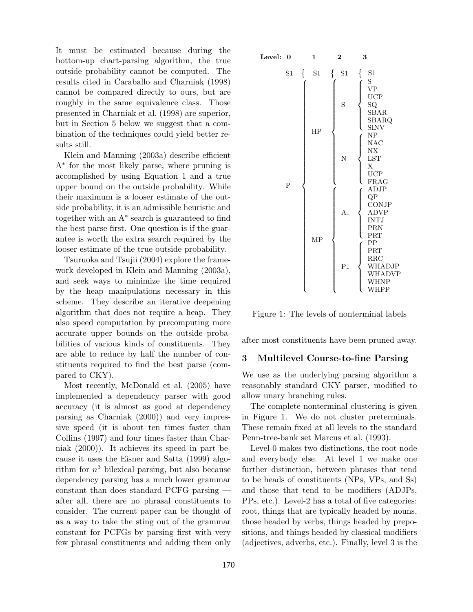It must be estimated because during the bottom-up chart-parsing algorithm, the true outside probability cannot be computed. The results cited in Caraballo and Charniak (1998) cannot be compared directly to ours, but are roughly in the same equivalence class. Those presented in Charniak et al. (1998) are superior, but in Section 5 below we suggest that a combination of the techniques could yield better results still.

Klein and Manning (2003a) describe efficient A∗ for the most likely parse, where pruning is accomplished by using Equation 1 and a true upper bound on the outside probability. While their maximum is a looser estimate of the outside probability, it is an admissible heuristic and together with an A<sup>∗</sup> search is guaranteed to find the best parse first. One question is if the guarantee is worth the extra search required by the looser estimate of the true outside probability.

Tsuruoka and Tsujii (2004) explore the framework developed in Klein and Manning (2003a), and seek ways to minimize the time required by the heap manipulations necessary in this scheme. They describe an iterative deepening algorithm that does not require a heap. They also speed computation by precomputing more accurate upper bounds on the outside probabilities of various kinds of constituents. They are able to reduce by half the number of constituents required to find the best parse (compared to CKY).

Most recently, McDonald et al. (2005) have implemented a dependency parser with good accuracy (it is almost as good at dependency parsing as Charniak (2000)) and very impressive speed (it is about ten times faster than Collins (1997) and four times faster than Charniak (2000)). It achieves its speed in part because it uses the Eisner and Satta (1999) algorithm for  $n^3$  bilexical parsing, but also because dependency parsing has a much lower grammar constant than does standard PCFG parsing after all, there are no phrasal constituents to consider. The current paper can be thought of as a way to take the sting out of the grammar constant for PCFGs by parsing first with very few phrasal constituents and adding them only

| $L$ evel: $0$ |                | $\mathbf{1}$ | $\overline{2}$         | 3                                                                                     |
|---------------|----------------|--------------|------------------------|---------------------------------------------------------------------------------------|
|               | S1             | {<br>S1      | $\{$<br>S <sub>1</sub> | S <sub>1</sub>                                                                        |
|               |                | HP           | $S_{-}$                | S<br>VP<br>UCP<br>SQ<br>$\rm SBAR$<br>SBARQ<br><b>SINV</b>                            |
|               |                |              | $N_{-}$                | NP<br><b>NAC</b><br>$\mathbf{N}\mathbf{X}$<br>LST<br>$X_{\mathcal{L}}$<br>UCP<br>FRAG |
|               | $\overline{P}$ | MP           | $\mathbf{A}_{-}$       | ${\rm ADJP}$<br>QP<br>CONJP<br><b>ADVP</b><br><b>INTJ</b><br>PRN<br>PRT               |
|               |                |              | $P_{-}$                | PP<br>PRT<br>RRC<br>WHADJP<br>WHADVP<br>WHNP<br><b>WHPP</b>                           |

Figure 1: The levels of nonterminal labels

after most constituents have been pruned away.

#### 3 Multilevel Course-to-fine Parsing

We use as the underlying parsing algorithm a reasonably standard CKY parser, modified to allow unary branching rules.

The complete nonterminal clustering is given in Figure 1. We do not cluster preterminals. These remain fixed at all levels to the standard Penn-tree-bank set Marcus et al. (1993).

Level-0 makes two distinctions, the root node and everybody else. At level 1 we make one further distinction, between phrases that tend to be heads of constituents (NPs, VPs, and Ss) and those that tend to be modifiers (ADJPs, PPs, etc.). Level-2 has a total of five categories: root, things that are typically headed by nouns, those headed by verbs, things headed by prepositions, and things headed by classical modifiers (adjectives, adverbs, etc.). Finally, level 3 is the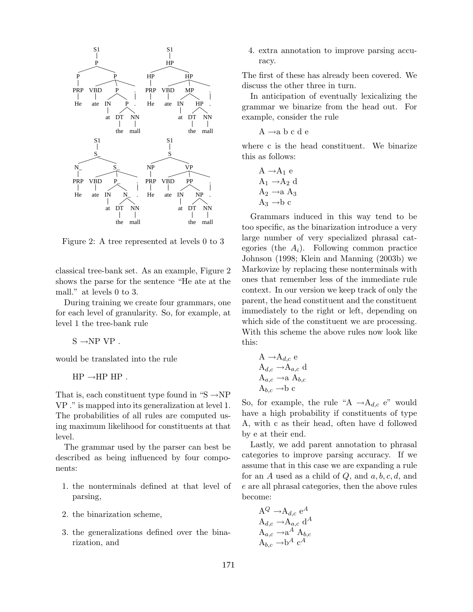

Figure 2: A tree represented at levels 0 to 3

classical tree-bank set. As an example, Figure 2 shows the parse for the sentence "He ate at the mall." at levels 0 to 3.

During training we create four grammars, one for each level of granularity. So, for example, at level 1 the tree-bank rule

$$
S \rightarrow NP VP
$$
.

would be translated into the rule

 $HP \rightarrow HP HP$ .

That is, each constituent type found in "S  $\rightarrow$ NP VP ." is mapped into its generalization at level 1. The probabilities of all rules are computed using maximum likelihood for constituents at that level.

The grammar used by the parser can best be described as being influenced by four components:

- 1. the nonterminals defined at that level of parsing,
- 2. the binarization scheme,
- 3. the generalizations defined over the binarization, and

4. extra annotation to improve parsing accuracy.

The first of these has already been covered. We discuss the other three in turn.

In anticipation of eventually lexicalizing the grammar we binarize from the head out. For example, consider the rule

$$
A \rightarrow a b c d e
$$

where c is the head constituent. We binarize this as follows:

$$
A \rightarrow A_1 e
$$
  
\n
$$
A_1 \rightarrow A_2 d
$$
  
\n
$$
A_2 \rightarrow a A_3
$$
  
\n
$$
A_3 \rightarrow b c
$$

Grammars induced in this way tend to be too specific, as the binarization introduce a very large number of very specialized phrasal categories (the  $A_i$ ). Following common practice Johnson (1998; Klein and Manning (2003b) we Markovize by replacing these nonterminals with ones that remember less of the immediate rule context. In our version we keep track of only the parent, the head constituent and the constituent immediately to the right or left, depending on which side of the constituent we are processing. With this scheme the above rules now look like this:

$$
\begin{array}{l}\nA \rightarrow A_{d,c} \text{ e} \\
A_{d,c} \rightarrow A_{a,c} \text{ d} \\
A_{a,c} \rightarrow a A_{b,c} \\
A_{b,c} \rightarrow b \text{ c}\n\end{array}
$$

So, for example, the rule "A  $\rightarrow A_{d,c}$  e" would have a high probability if constituents of type A, with c as their head, often have d followed by e at their end.

Lastly, we add parent annotation to phrasal categories to improve parsing accuracy. If we assume that in this case we are expanding a rule for an  $A$  used as a child of  $Q$ , and  $a, b, c, d$ , and e are all phrasal categories, then the above rules become:

$$
A^{Q} \rightarrow A_{d,c} e^{A}
$$
  
\n
$$
A_{d,c} \rightarrow A_{a,c} d^{A}
$$
  
\n
$$
A_{a,c} \rightarrow a^{A} A_{b,c}
$$
  
\n
$$
A_{b,c} \rightarrow b^{A} c^{A}
$$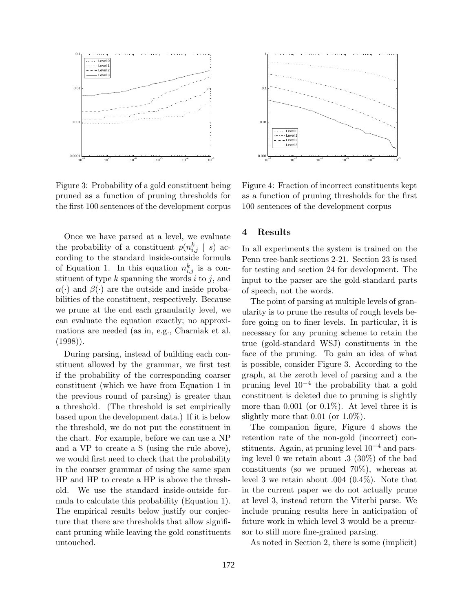

Figure 3: Probability of a gold constituent being pruned as a function of pruning thresholds for the first 100 sentences of the development corpus

Once we have parsed at a level, we evaluate the probability of a constituent  $p(n_{i,j}^k \mid s)$  according to the standard inside-outside formula of Equation 1. In this equation  $n_{i,j}^k$  is a constituent of type  $k$  spanning the words  $i$  to  $j$ , and  $\alpha(\cdot)$  and  $\beta(\cdot)$  are the outside and inside probabilities of the constituent, respectively. Because we prune at the end each granularity level, we can evaluate the equation exactly; no approximations are needed (as in, e.g., Charniak et al. (1998)).

During parsing, instead of building each constituent allowed by the grammar, we first test if the probability of the corresponding coarser constituent (which we have from Equation 1 in the previous round of parsing) is greater than a threshold. (The threshold is set empirically based upon the development data.) If it is below the threshold, we do not put the constituent in the chart. For example, before we can use a NP and a VP to create a S (using the rule above), we would first need to check that the probability in the coarser grammar of using the same span HP and HP to create a HP is above the threshold. We use the standard inside-outside formula to calculate this probability (Equation 1). The empirical results below justify our conjecture that there are thresholds that allow significant pruning while leaving the gold constituents untouched.



Figure 4: Fraction of incorrect constituents kept as a function of pruning thresholds for the first 100 sentences of the development corpus

#### 4 Results

In all experiments the system is trained on the Penn tree-bank sections 2-21. Section 23 is used for testing and section 24 for development. The input to the parser are the gold-standard parts of speech, not the words.

The point of parsing at multiple levels of granularity is to prune the results of rough levels before going on to finer levels. In particular, it is necessary for any pruning scheme to retain the true (gold-standard WSJ) constituents in the face of the pruning. To gain an idea of what is possible, consider Figure 3. According to the graph, at the zeroth level of parsing and a the pruning level  $10^{-4}$  the probability that a gold constituent is deleted due to pruning is slightly more than  $0.001$  (or  $0.1\%$ ). At level three it is slightly more that 0.01 (or 1.0%).

The companion figure, Figure 4 shows the retention rate of the non-gold (incorrect) constituents. Again, at pruning level  $10^{-4}$  and parsing level 0 we retain about .3 (30%) of the bad constituents (so we pruned 70%), whereas at level 3 we retain about .004 (0.4%). Note that in the current paper we do not actually prune at level 3, instead return the Viterbi parse. We include pruning results here in anticipation of future work in which level 3 would be a precursor to still more fine-grained parsing.

As noted in Section 2, there is some (implicit)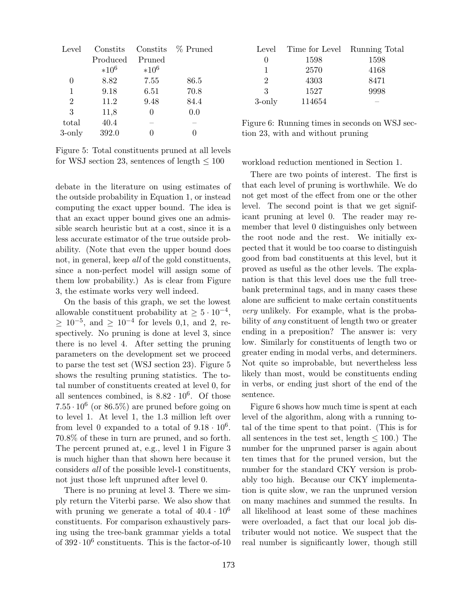| Constits<br>Level |          | Constits | % Pruned |
|-------------------|----------|----------|----------|
|                   | Produced | Pruned   |          |
|                   | $*10^6$  | $*10^6$  |          |
| 0                 | 8.82     | 7.55     | 86.5     |
| 1                 | 9.18     | 6.51     | 70.8     |
| $\overline{2}$    | 11.2     | 9.48     | 84.4     |
| 3                 | 11,8     | 0        | 0.0      |
| total             | 40.4     |          |          |
| $3$ -only         | 392.0    |          |          |

Figure 5: Total constituents pruned at all levels for WSJ section 23, sentences of length  $\leq 100$ 

debate in the literature on using estimates of the outside probability in Equation 1, or instead computing the exact upper bound. The idea is that an exact upper bound gives one an admissible search heuristic but at a cost, since it is a less accurate estimator of the true outside probability. (Note that even the upper bound does not, in general, keep all of the gold constituents, since a non-perfect model will assign some of them low probability.) As is clear from Figure 3, the estimate works very well indeed.

On the basis of this graph, we set the lowest allowable constituent probability at  $\geq 5 \cdot 10^{-4}$ ,  $\geq 10^{-5}$ , and  $\geq 10^{-4}$  for levels 0,1, and 2, respectively. No pruning is done at level 3, since there is no level 4. After setting the pruning parameters on the development set we proceed to parse the test set (WSJ section 23). Figure 5 shows the resulting pruning statistics. The total number of constituents created at level 0, for all sentences combined, is  $8.82 \cdot 10^6$ . Of those  $7.55 \cdot 10^6$  (or  $86.5\%$ ) are pruned before going on to level 1. At level 1, the 1.3 million left over from level 0 expanded to a total of  $9.18 \cdot 10^6$ . 70.8% of these in turn are pruned, and so forth. The percent pruned at, e.g., level 1 in Figure 3 is much higher than that shown here because it considers all of the possible level-1 constituents, not just those left unpruned after level 0.

There is no pruning at level 3. There we simply return the Viterbi parse. We also show that with pruning we generate a total of  $40.4 \cdot 10^6$ constituents. For comparison exhaustively parsing using the tree-bank grammar yields a total of  $392 \cdot 10^6$  constituents. This is the factor-of-10

|                | Level Time for Level Running Total |      |
|----------------|------------------------------------|------|
| 0              | 1598                               | 1598 |
| 1              | 2570                               | 4168 |
| $\overline{2}$ | 4303                               | 8471 |
| 3              | 1527                               | 9998 |
| $3$ -only      | 114654                             |      |

Figure 6: Running times in seconds on WSJ section 23, with and without pruning

workload reduction mentioned in Section 1.

There are two points of interest. The first is that each level of pruning is worthwhile. We do not get most of the effect from one or the other level. The second point is that we get significant pruning at level 0. The reader may remember that level 0 distinguishes only between the root node and the rest. We initially expected that it would be too coarse to distinguish good from bad constituents at this level, but it proved as useful as the other levels. The explanation is that this level does use the full treebank preterminal tags, and in many cases these alone are sufficient to make certain constituents very unlikely. For example, what is the probability of any constituent of length two or greater ending in a preposition? The answer is: very low. Similarly for constituents of length two or greater ending in modal verbs, and determiners. Not quite so improbable, but nevertheless less likely than most, would be constituents ending in verbs, or ending just short of the end of the sentence.

Figure 6 shows how much time is spent at each level of the algorithm, along with a running total of the time spent to that point. (This is for all sentences in the test set, length  $\leq 100$ .) The number for the unpruned parser is again about ten times that for the pruned version, but the number for the standard CKY version is probably too high. Because our CKY implementation is quite slow, we ran the unpruned version on many machines and summed the results. In all likelihood at least some of these machines were overloaded, a fact that our local job distributer would not notice. We suspect that the real number is significantly lower, though still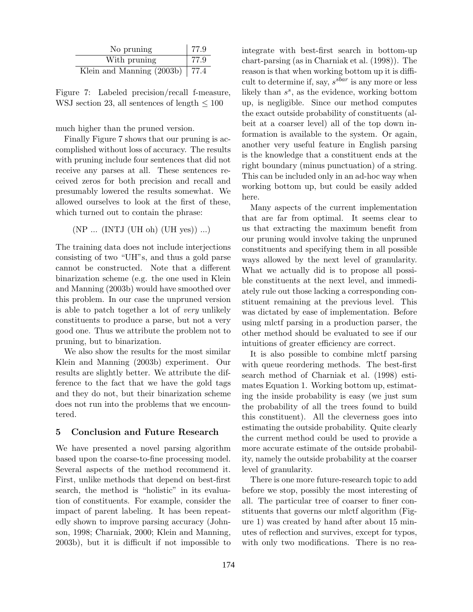| No pruning                | 77.9   |
|---------------------------|--------|
| With pruning              | 77.9   |
| Klein and Manning (2003b) | l 77.4 |

Figure 7: Labeled precision/recall f-measure, WSJ section 23, all sentences of length  $\leq 100$ 

much higher than the pruned version.

Finally Figure 7 shows that our pruning is accomplished without loss of accuracy. The results with pruning include four sentences that did not receive any parses at all. These sentences received zeros for both precision and recall and presumably lowered the results somewhat. We allowed ourselves to look at the first of these, which turned out to contain the phrase:

$$
(NP ... (INTJ (UH oh) (UH yes)) ...)
$$

The training data does not include interjections consisting of two "UH"s, and thus a gold parse cannot be constructed. Note that a different binarization scheme (e.g. the one used in Klein and Manning (2003b) would have smoothed over this problem. In our case the unpruned version is able to patch together a lot of very unlikely constituents to produce a parse, but not a very good one. Thus we attribute the problem not to pruning, but to binarization.

We also show the results for the most similar Klein and Manning (2003b) experiment. Our results are slightly better. We attribute the difference to the fact that we have the gold tags and they do not, but their binarization scheme does not run into the problems that we encountered.

### 5 Conclusion and Future Research

We have presented a novel parsing algorithm based upon the coarse-to-fine processing model. Several aspects of the method recommend it. First, unlike methods that depend on best-first search, the method is "holistic" in its evaluation of constituents. For example, consider the impact of parent labeling. It has been repeatedly shown to improve parsing accuracy (Johnson, 1998; Charniak, 2000; Klein and Manning, 2003b), but it is difficult if not impossible to integrate with best-first search in bottom-up chart-parsing (as in Charniak et al. (1998)). The reason is that when working bottom up it is difficult to determine if, say,  $s^{sbar}$  is any more or less likely than  $s^s$ , as the evidence, working bottom up, is negligible. Since our method computes the exact outside probability of constituents (albeit at a coarser level) all of the top down information is available to the system. Or again, another very useful feature in English parsing is the knowledge that a constituent ends at the right boundary (minus punctuation) of a string. This can be included only in an ad-hoc way when working bottom up, but could be easily added here.

Many aspects of the current implementation that are far from optimal. It seems clear to us that extracting the maximum benefit from our pruning would involve taking the unpruned constituents and specifying them in all possible ways allowed by the next level of granularity. What we actually did is to propose all possible constituents at the next level, and immediately rule out those lacking a corresponding constituent remaining at the previous level. This was dictated by ease of implementation. Before using mlctf parsing in a production parser, the other method should be evaluated to see if our intuitions of greater efficiency are correct.

It is also possible to combine mlctf parsing with queue reordering methods. The best-first search method of Charniak et al. (1998) estimates Equation 1. Working bottom up, estimating the inside probability is easy (we just sum the probability of all the trees found to build this constituent). All the cleverness goes into estimating the outside probability. Quite clearly the current method could be used to provide a more accurate estimate of the outside probability, namely the outside probability at the coarser level of granularity.

There is one more future-research topic to add before we stop, possibly the most interesting of all. The particular tree of coarser to finer constituents that governs our mlctf algorithm (Figure 1) was created by hand after about 15 minutes of reflection and survives, except for typos, with only two modifications. There is no rea